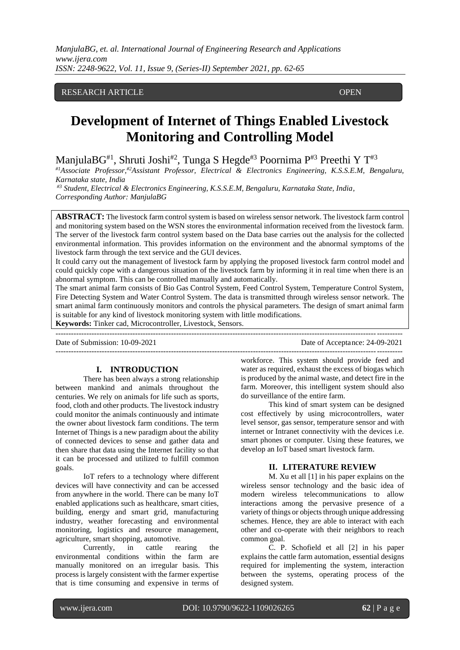## RESEARCH ARTICLE **COPEN**

ACCESS

# **Development of Internet of Things Enabled Livestock Monitoring and Controlling Model**

ManjulaBG<sup>#1</sup>, Shruti Joshi<sup>#2</sup>, Tunga S Hegde<sup>#3</sup> Poornima P<sup>#3</sup> Preethi Y T<sup>#3</sup>

*#1Associate Professor,#2Assistant Professor, Electrical & Electronics Engineering, K.S.S.E.M, Bengaluru, Karnataka state, India*

*#3 Student, Electrical & Electronics Engineering, K.S.S.E.M, Bengaluru, Karnataka State, India, Corresponding Author: ManjulaBG*

**ABSTRACT:** The livestock farm control system is based on wireless sensor network. The livestock farm control and monitoring system based on the WSN stores the environmental information received from the livestock farm. The server of the livestock farm control system based on the Data base carries out the analysis for the collected environmental information. This provides information on the environment and the abnormal symptoms of the livestock farm through the text service and the GUI devices.

It could carry out the management of livestock farm by applying the proposed livestock farm control model and could quickly cope with a dangerous situation of the livestock farm by informing it in real time when there is an abnormal symptom. This can be controlled manually and automatically.

The smart animal farm consists of Bio Gas Control System, Feed Control System, Temperature Control System, Fire Detecting System and Water Control System. The data is transmitted through wireless sensor network. The smart animal farm continuously monitors and controls the physical parameters. The design of smart animal farm is suitable for any kind of livestock monitoring system with little modifications.

**Keywords:** Tinker cad, Microcontroller, Livestock, Sensors.

---------------------------------------------------------------------------------------------------------------------------------------

Date of Submission: 10-09-2021 Date of Acceptance: 24-09-2021

#### **I. INTRODUCTION**

There has been always a strong relationship between mankind and animals throughout the centuries. We rely on animals for life such as sports, food, cloth and other products. The livestock industry could monitor the animals continuously and intimate the owner about livestock farm conditions. The term Internet of Things is a new paradigm about the ability of connected devices to sense and gather data and then share that data using the Internet facility so that it can be processed and utilized to fulfill common goals.

IoT refers to a technology where different devices will have connectivity and can be accessed from anywhere in the world. There can be many IoT enabled applications such as healthcare, smart cities, building, energy and smart grid, manufacturing industry, weather forecasting and environmental monitoring, logistics and resource management, agriculture, smart shopping, automotive.

Currently, in cattle rearing the environmental conditions within the farm are manually monitored on an irregular basis. This process is largely consistent with the farmer expertise that is time consuming and expensive in terms of workforce. This system should provide feed and water as required, exhaust the excess of biogas which is produced by the animal waste, and detect fire in the farm. Moreover, this intelligent system should also do surveillance of the entire farm.

---------------------------------------------------------------------------------------------------------------------------------------

This kind of smart system can be designed cost effectively by using microcontrollers, water level sensor, gas sensor, temperature sensor and with internet or Intranet connectivity with the devices i.e. smart phones or computer. Using these features, we develop an IoT based smart livestock farm.

#### **II. LITERATURE REVIEW**

M. Xu et all [1] in his paper explains on the wireless sensor technology and the basic idea of modern wireless telecommunications to allow interactions among the pervasive presence of a variety of things or objects through unique addressing schemes. Hence, they are able to interact with each other and co-operate with their neighbors to reach common goal.

C. P. Schofield et all [2] in his paper explains the cattle farm automation, essential designs required for implementing the system, interaction between the systems, operating process of the designed system.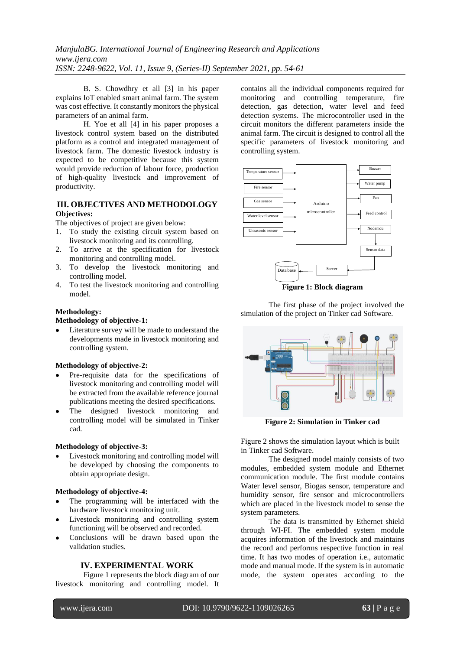B. S. Chowdhry et all [3] in his paper explains IoT enabled smart animal farm. The system was cost effective. It constantly monitors the physical parameters of an animal farm.

H. Yoe et all [4] in his paper proposes a livestock control system based on the distributed platform as a control and integrated management of livestock farm. The domestic livestock industry is expected to be competitive because this system would provide reduction of labour force, production of high-quality livestock and improvement of productivity.

## **III. OBJECTIVES AND METHODOLOGY Objectives:**

The objectives of project are given below:

- 1. To study the existing circuit system based on livestock monitoring and its controlling.
- 2. To arrive at the specification for livestock monitoring and controlling model.
- 3. To develop the livestock monitoring and controlling model.
- 4. To test the livestock monitoring and controlling model.

## **Methodology:**

## **Methodology of objective-1:**

Literature survey will be made to understand the developments made in livestock monitoring and controlling system.

#### **Methodology of objective-2:**

- Pre-requisite data for the specifications of livestock monitoring and controlling model will be extracted from the available reference journal publications meeting the desired specifications.
- The designed livestock monitoring and controlling model will be simulated in Tinker cad.

#### **Methodology of objective-3:**

Livestock monitoring and controlling model will be developed by choosing the components to obtain appropriate design.

#### **Methodology of objective-4:**

- The programming will be interfaced with the hardware livestock monitoring unit.
- Livestock monitoring and controlling system functioning will be observed and recorded.
- Conclusions will be drawn based upon the validation studies.

## **IV. EXPERIMENTAL WORK**

Figure 1 represents the block diagram of our livestock monitoring and controlling model. It contains all the individual components required for monitoring and controlling temperature, fire detection, gas detection, water level and feed detection systems. The microcontroller used in the circuit monitors the different parameters inside the animal farm. The circuit is designed to control all the specific parameters of livestock monitoring and controlling system.



**Figure 1: Block diagram**

The first phase of the project involved the simulation of the project on Tinker cad Software.



**Figure 2: Simulation in Tinker cad**

Figure 2 shows the simulation layout which is built in Tinker cad Software.

The designed model mainly consists of two modules, embedded system module and Ethernet communication module. The first module contains Water level sensor, Biogas sensor, temperature and humidity sensor, fire sensor and microcontrollers which are placed in the livestock model to sense the system parameters.

The data is transmitted by Ethernet shield through WI-FI. The embedded system module acquires information of the livestock and maintains the record and performs respective function in real time. It has two modes of operation i.e., automatic mode and manual mode. If the system is in automatic mode, the system operates according to the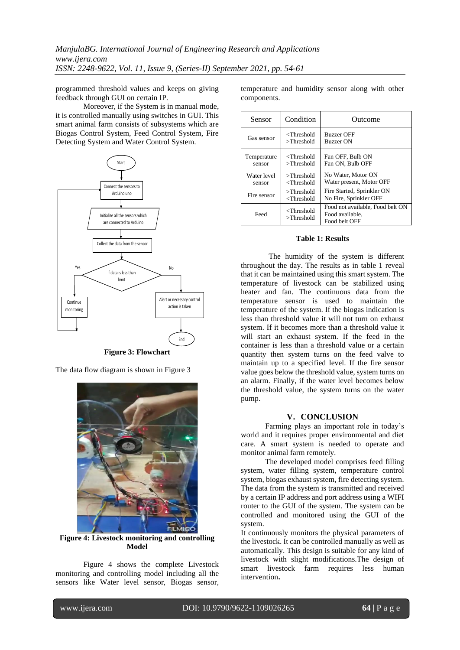programmed threshold values and keeps on giving feedback through GUI on certain IP.

Moreover, if the System is in manual mode, it is controlled manually using switches in GUI. This smart animal farm consists of subsystems which are Biogas Control System, Feed Control System, Fire Detecting System and Water Control System.



**Figure 3: Flowchart**

The data flow diagram is shown in Figure 3



**Figure 4: Livestock monitoring and controlling Model**

Figure 4 shows the complete Livestock monitoring and controlling model including all the sensors like Water level sensor, Biogas sensor, temperature and humidity sensor along with other components.

| Sensor                | Condition                                                                                                      | Outcome                                                              |
|-----------------------|----------------------------------------------------------------------------------------------------------------|----------------------------------------------------------------------|
| Gas sensor            | <threshold<br><math>&gt;</math>Threshold</threshold<br>                                                        | <b>Buzzer OFF</b><br><b>Buzzer ON</b>                                |
| Temperature<br>sensor | <threshold<br><math>&gt;</math>Threshold</threshold<br>                                                        | Fan OFF, Bulb ON<br>Fan ON, Bulb OFF                                 |
| Water level<br>sensor | $>$ Threshold<br><threshold< td=""><td>No Water, Motor ON<br/>Water present, Motor OFF</td></threshold<>       | No Water, Motor ON<br>Water present, Motor OFF                       |
| Fire sensor           | $>$ Threshold<br><threshold< td=""><td>Fire Started, Sprinkler ON<br/>No Fire, Sprinkler OFF</td></threshold<> | Fire Started, Sprinkler ON<br>No Fire, Sprinkler OFF                 |
| Feed                  | <threshold<br><math>&gt;</math>Threshold</threshold<br>                                                        | Food not available, Food belt ON<br>Food available.<br>Food belt OFF |

#### **Table 1: Results**

The humidity of the system is different throughout the day. The results as in table 1 reveal that it can be maintained using this smart system. The temperature of livestock can be stabilized using heater and fan. The continuous data from the temperature sensor is used to maintain the temperature of the system. If the biogas indication is less than threshold value it will not turn on exhaust system. If it becomes more than a threshold value it will start an exhaust system. If the feed in the container is less than a threshold value or a certain quantity then system turns on the feed valve to maintain up to a specified level. If the fire sensor value goes below the threshold value, system turns on an alarm. Finally, if the water level becomes below the threshold value, the system turns on the water pump.

#### **V. CONCLUSION**

Farming plays an important role in today's world and it requires proper environmental and diet care. A smart system is needed to operate and monitor animal farm remotely.

The developed model comprises feed filling system, water filling system, temperature control system, biogas exhaust system, fire detecting system. The data from the system is transmitted and received by a certain IP address and port address using a WIFI router to the GUI of the system. The system can be controlled and monitored using the GUI of the system.

It continuously monitors the physical parameters of the livestock. It can be controlled manually as well as automatically. This design is suitable for any kind of livestock with slight modifications.The design of smart livestock farm requires less human intervention**.**